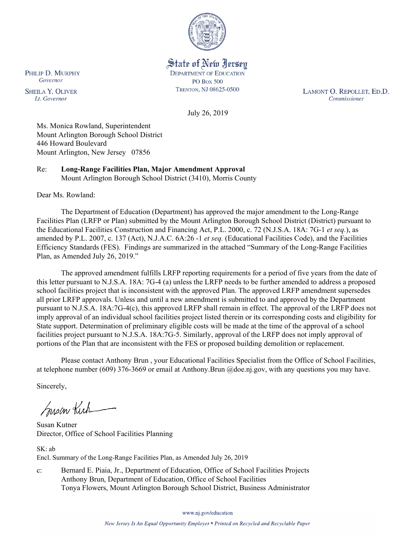

State of New Jersey **DEPARTMENT OF EDUCATION PO Box 500** TRENTON, NJ 08625-0500

LAMONT O. REPOLLET, ED.D. Commissioner

July 26, 2019

Ms. Monica Rowland, Superintendent Mount Arlington Borough School District 446 Howard Boulevard Mount Arlington, New Jersey 07856

Re: **Long-Range Facilities Plan, Major Amendment Approval** Mount Arlington Borough School District (3410), Morris County

Dear Ms. Rowland:

The Department of Education (Department) has approved the major amendment to the Long-Range Facilities Plan (LRFP or Plan) submitted by the Mount Arlington Borough School District (District) pursuant to the Educational Facilities Construction and Financing Act, P.L. 2000, c. 72 (N.J.S.A. 18A: 7G-1 *et seq.*), as amended by P.L. 2007, c. 137 (Act), N.J.A.C. 6A:26 -1 *et seq.* (Educational Facilities Code), and the Facilities Efficiency Standards (FES). Findings are summarized in the attached "Summary of the Long-Range Facilities Plan, as Amended July 26, 2019."

The approved amendment fulfills LRFP reporting requirements for a period of five years from the date of this letter pursuant to N.J.S.A. 18A: 7G-4 (a) unless the LRFP needs to be further amended to address a proposed school facilities project that is inconsistent with the approved Plan. The approved LRFP amendment supersedes all prior LRFP approvals. Unless and until a new amendment is submitted to and approved by the Department pursuant to N.J.S.A. 18A:7G-4(c), this approved LRFP shall remain in effect. The approval of the LRFP does not imply approval of an individual school facilities project listed therein or its corresponding costs and eligibility for State support. Determination of preliminary eligible costs will be made at the time of the approval of a school facilities project pursuant to N.J.S.A. 18A:7G-5. Similarly, approval of the LRFP does not imply approval of portions of the Plan that are inconsistent with the FES or proposed building demolition or replacement.

Please contact Anthony Brun , your Educational Facilities Specialist from the Office of School Facilities, at telephone number (609) 376-3669 or email at Anthony.Brun @doe.nj.gov, with any questions you may have.

Sincerely,

Susan Kich

Susan Kutner Director, Office of School Facilities Planning

SK: ab Encl. Summary of the Long-Range Facilities Plan, as Amended July 26, 2019

c: Bernard E. Piaia, Jr., Department of Education, Office of School Facilities Projects Anthony Brun, Department of Education, Office of School Facilities Tonya Flowers, Mount Arlington Borough School District, Business Administrator

www.nj.gov/education

PHILIP D. MURPHY Governor

**SHEILA Y. OLIVER** Lt. Governor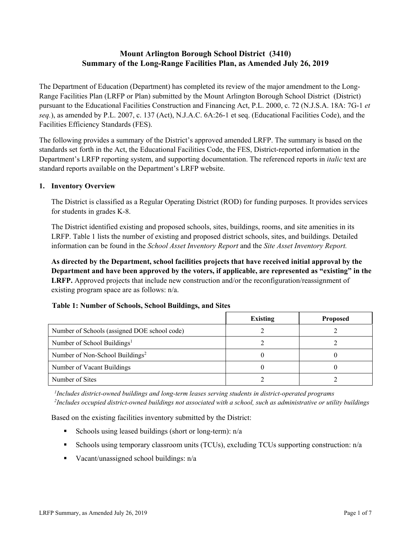# **Mount Arlington Borough School District (3410) Summary of the Long-Range Facilities Plan, as Amended July 26, 2019**

The Department of Education (Department) has completed its review of the major amendment to the Long-Range Facilities Plan (LRFP or Plan) submitted by the Mount Arlington Borough School District (District) pursuant to the Educational Facilities Construction and Financing Act, P.L. 2000, c. 72 (N.J.S.A. 18A: 7G-1 *et seq.*), as amended by P.L. 2007, c. 137 (Act), N.J.A.C. 6A:26-1 et seq. (Educational Facilities Code), and the Facilities Efficiency Standards (FES).

The following provides a summary of the District's approved amended LRFP. The summary is based on the standards set forth in the Act, the Educational Facilities Code, the FES, District-reported information in the Department's LRFP reporting system, and supporting documentation. The referenced reports in *italic* text are standard reports available on the Department's LRFP website.

### **1. Inventory Overview**

The District is classified as a Regular Operating District (ROD) for funding purposes. It provides services for students in grades K-8.

The District identified existing and proposed schools, sites, buildings, rooms, and site amenities in its LRFP. Table 1 lists the number of existing and proposed district schools, sites, and buildings. Detailed information can be found in the *School Asset Inventory Report* and the *Site Asset Inventory Report.*

**As directed by the Department, school facilities projects that have received initial approval by the Department and have been approved by the voters, if applicable, are represented as "existing" in the LRFP.** Approved projects that include new construction and/or the reconfiguration/reassignment of existing program space are as follows: n/a.

|  |  | Table 1: Number of Schools, School Buildings, and Sites |  |
|--|--|---------------------------------------------------------|--|
|--|--|---------------------------------------------------------|--|

|                                              | <b>Existing</b> | <b>Proposed</b> |
|----------------------------------------------|-----------------|-----------------|
| Number of Schools (assigned DOE school code) |                 |                 |
| Number of School Buildings <sup>1</sup>      |                 |                 |
| Number of Non-School Buildings <sup>2</sup>  |                 |                 |
| Number of Vacant Buildings                   |                 |                 |
| Number of Sites                              |                 |                 |

*1 Includes district-owned buildings and long-term leases serving students in district-operated programs 2 Includes occupied district-owned buildings not associated with a school, such as administrative or utility buildings*

Based on the existing facilities inventory submitted by the District:

- Schools using leased buildings (short or long-term):  $n/a$
- Schools using temporary classroom units (TCUs), excluding TCUs supporting construction: n/a
- Vacant/unassigned school buildings:  $n/a$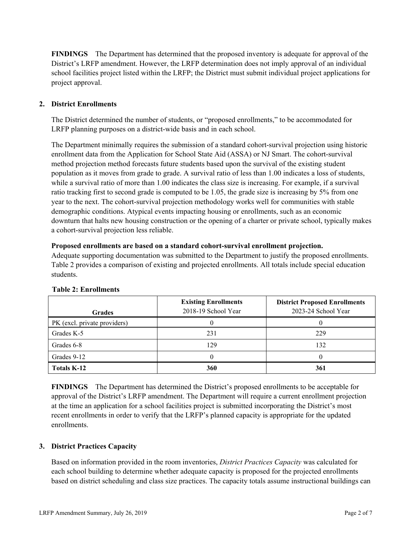**FINDINGS** The Department has determined that the proposed inventory is adequate for approval of the District's LRFP amendment. However, the LRFP determination does not imply approval of an individual school facilities project listed within the LRFP; the District must submit individual project applications for project approval.

# **2. District Enrollments**

The District determined the number of students, or "proposed enrollments," to be accommodated for LRFP planning purposes on a district-wide basis and in each school.

The Department minimally requires the submission of a standard cohort-survival projection using historic enrollment data from the Application for School State Aid (ASSA) or NJ Smart. The cohort-survival method projection method forecasts future students based upon the survival of the existing student population as it moves from grade to grade. A survival ratio of less than 1.00 indicates a loss of students, while a survival ratio of more than 1.00 indicates the class size is increasing. For example, if a survival ratio tracking first to second grade is computed to be 1.05, the grade size is increasing by 5% from one year to the next. The cohort-survival projection methodology works well for communities with stable demographic conditions. Atypical events impacting housing or enrollments, such as an economic downturn that halts new housing construction or the opening of a charter or private school, typically makes a cohort-survival projection less reliable.

### **Proposed enrollments are based on a standard cohort-survival enrollment projection.**

Adequate supporting documentation was submitted to the Department to justify the proposed enrollments. Table 2 provides a comparison of existing and projected enrollments. All totals include special education students.

| <b>Grades</b>                | <b>Existing Enrollments</b><br>2018-19 School Year | <b>District Proposed Enrollments</b><br>2023-24 School Year |
|------------------------------|----------------------------------------------------|-------------------------------------------------------------|
| PK (excl. private providers) |                                                    |                                                             |
| Grades K-5                   | 231                                                | 229                                                         |
| Grades 6-8                   | 129                                                | 132                                                         |
| Grades 9-12                  |                                                    |                                                             |
| <b>Totals K-12</b>           | 360                                                | 361                                                         |

### **Table 2: Enrollments**

**FINDINGS** The Department has determined the District's proposed enrollments to be acceptable for approval of the District's LRFP amendment. The Department will require a current enrollment projection at the time an application for a school facilities project is submitted incorporating the District's most recent enrollments in order to verify that the LRFP's planned capacity is appropriate for the updated enrollments.

### **3. District Practices Capacity**

Based on information provided in the room inventories, *District Practices Capacity* was calculated for each school building to determine whether adequate capacity is proposed for the projected enrollments based on district scheduling and class size practices. The capacity totals assume instructional buildings can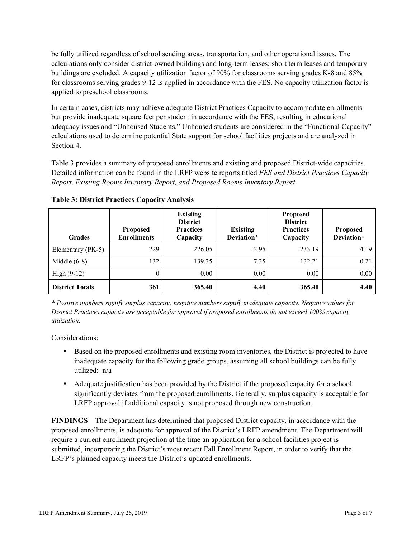be fully utilized regardless of school sending areas, transportation, and other operational issues. The calculations only consider district-owned buildings and long-term leases; short term leases and temporary buildings are excluded. A capacity utilization factor of 90% for classrooms serving grades K-8 and 85% for classrooms serving grades 9-12 is applied in accordance with the FES. No capacity utilization factor is applied to preschool classrooms.

In certain cases, districts may achieve adequate District Practices Capacity to accommodate enrollments but provide inadequate square feet per student in accordance with the FES, resulting in educational adequacy issues and "Unhoused Students." Unhoused students are considered in the "Functional Capacity" calculations used to determine potential State support for school facilities projects and are analyzed in Section 4.

Table 3 provides a summary of proposed enrollments and existing and proposed District-wide capacities. Detailed information can be found in the LRFP website reports titled *FES and District Practices Capacity Report, Existing Rooms Inventory Report, and Proposed Rooms Inventory Report.*

| <b>Grades</b>          | <b>Proposed</b><br><b>Enrollments</b> | <b>Existing</b><br><b>District</b><br><b>Practices</b><br>Capacity | <b>Existing</b><br>Deviation* | <b>Proposed</b><br><b>District</b><br><b>Practices</b><br>Capacity | <b>Proposed</b><br>Deviation* |
|------------------------|---------------------------------------|--------------------------------------------------------------------|-------------------------------|--------------------------------------------------------------------|-------------------------------|
| Elementary (PK-5)      | 229                                   | 226.05                                                             | $-2.95$                       | 233.19                                                             | 4.19                          |
| Middle $(6-8)$         | 132                                   | 139.35                                                             | 7.35                          | 132.21                                                             | 0.21                          |
| High $(9-12)$          | $\theta$                              | 0.00                                                               | 0.00                          | 0.00                                                               | 0.00                          |
| <b>District Totals</b> | 361                                   | 365.40                                                             | 4.40                          | 365.40                                                             | 4.40                          |

**Table 3: District Practices Capacity Analysis**

*\* Positive numbers signify surplus capacity; negative numbers signify inadequate capacity. Negative values for District Practices capacity are acceptable for approval if proposed enrollments do not exceed 100% capacity utilization.*

Considerations:

- Based on the proposed enrollments and existing room inventories, the District is projected to have inadequate capacity for the following grade groups, assuming all school buildings can be fully utilized: n/a
- Adequate justification has been provided by the District if the proposed capacity for a school significantly deviates from the proposed enrollments. Generally, surplus capacity is acceptable for LRFP approval if additional capacity is not proposed through new construction.

**FINDINGS**The Department has determined that proposed District capacity, in accordance with the proposed enrollments, is adequate for approval of the District's LRFP amendment. The Department will require a current enrollment projection at the time an application for a school facilities project is submitted, incorporating the District's most recent Fall Enrollment Report, in order to verify that the LRFP's planned capacity meets the District's updated enrollments.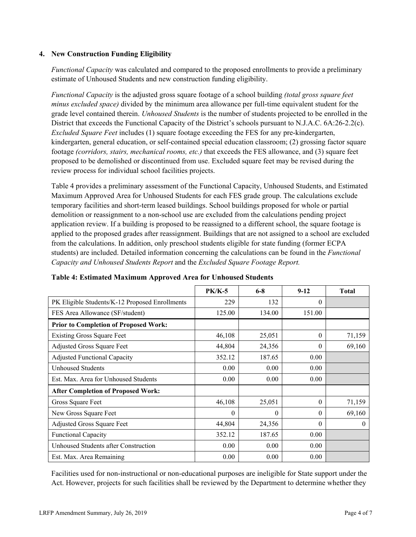### **4. New Construction Funding Eligibility**

*Functional Capacity* was calculated and compared to the proposed enrollments to provide a preliminary estimate of Unhoused Students and new construction funding eligibility.

*Functional Capacity* is the adjusted gross square footage of a school building *(total gross square feet minus excluded space)* divided by the minimum area allowance per full-time equivalent student for the grade level contained therein. *Unhoused Students* is the number of students projected to be enrolled in the District that exceeds the Functional Capacity of the District's schools pursuant to N.J.A.C. 6A:26-2.2(c). *Excluded Square Feet* includes (1) square footage exceeding the FES for any pre-kindergarten, kindergarten, general education, or self-contained special education classroom; (2) grossing factor square footage *(corridors, stairs, mechanical rooms, etc.)* that exceeds the FES allowance, and (3) square feet proposed to be demolished or discontinued from use. Excluded square feet may be revised during the review process for individual school facilities projects.

Table 4 provides a preliminary assessment of the Functional Capacity, Unhoused Students, and Estimated Maximum Approved Area for Unhoused Students for each FES grade group. The calculations exclude temporary facilities and short-term leased buildings. School buildings proposed for whole or partial demolition or reassignment to a non-school use are excluded from the calculations pending project application review. If a building is proposed to be reassigned to a different school, the square footage is applied to the proposed grades after reassignment. Buildings that are not assigned to a school are excluded from the calculations. In addition, only preschool students eligible for state funding (former ECPA students) are included. Detailed information concerning the calculations can be found in the *Functional Capacity and Unhoused Students Report* and the *Excluded Square Footage Report.*

|                                                | <b>PK/K-5</b> | $6 - 8$  | $9-12$   | <b>Total</b> |
|------------------------------------------------|---------------|----------|----------|--------------|
| PK Eligible Students/K-12 Proposed Enrollments | 229           | 132      | $\Omega$ |              |
| FES Area Allowance (SF/student)                | 125.00        | 134.00   | 151.00   |              |
| <b>Prior to Completion of Proposed Work:</b>   |               |          |          |              |
| <b>Existing Gross Square Feet</b>              | 46,108        | 25,051   | $\theta$ | 71,159       |
| Adjusted Gross Square Feet                     | 44,804        | 24,356   | $\theta$ | 69,160       |
| <b>Adjusted Functional Capacity</b>            | 352.12        | 187.65   | 0.00     |              |
| Unhoused Students                              | 0.00          | 0.00     | 0.00     |              |
| Est. Max. Area for Unhoused Students           | 0.00          | 0.00     | 0.00     |              |
| <b>After Completion of Proposed Work:</b>      |               |          |          |              |
| Gross Square Feet                              | 46,108        | 25,051   | $\Omega$ | 71,159       |
| New Gross Square Feet                          | 0             | $\theta$ | $\theta$ | 69,160       |
| <b>Adjusted Gross Square Feet</b>              | 44,804        | 24,356   | $\Omega$ | $\theta$     |
| <b>Functional Capacity</b>                     | 352.12        | 187.65   | 0.00     |              |
| Unhoused Students after Construction           | 0.00          | 0.00     | 0.00     |              |
| Est. Max. Area Remaining                       | 0.00          | 0.00     | 0.00     |              |

### **Table 4: Estimated Maximum Approved Area for Unhoused Students**

Facilities used for non-instructional or non-educational purposes are ineligible for State support under the Act. However, projects for such facilities shall be reviewed by the Department to determine whether they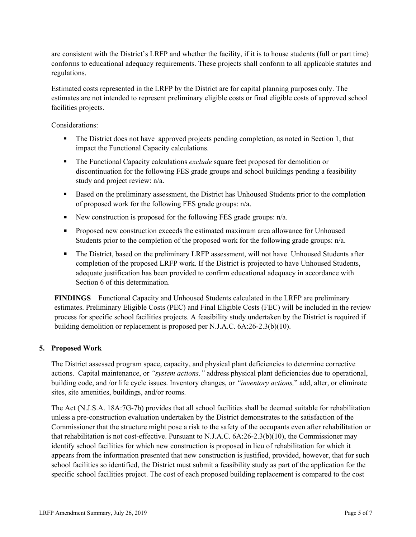are consistent with the District's LRFP and whether the facility, if it is to house students (full or part time) conforms to educational adequacy requirements. These projects shall conform to all applicable statutes and regulations.

Estimated costs represented in the LRFP by the District are for capital planning purposes only. The estimates are not intended to represent preliminary eligible costs or final eligible costs of approved school facilities projects.

Considerations:

- The District does not have approved projects pending completion, as noted in Section 1, that impact the Functional Capacity calculations.
- The Functional Capacity calculations *exclude* square feet proposed for demolition or discontinuation for the following FES grade groups and school buildings pending a feasibility study and project review: n/a.
- Based on the preliminary assessment, the District has Unhoused Students prior to the completion of proposed work for the following FES grade groups: n/a.
- New construction is proposed for the following FES grade groups:  $n/a$ .
- **Proposed new construction exceeds the estimated maximum area allowance for Unhoused** Students prior to the completion of the proposed work for the following grade groups: n/a.
- The District, based on the preliminary LRFP assessment, will not have Unhoused Students after completion of the proposed LRFP work. If the District is projected to have Unhoused Students, adequate justification has been provided to confirm educational adequacy in accordance with Section 6 of this determination.

**FINDINGS** Functional Capacity and Unhoused Students calculated in the LRFP are preliminary estimates. Preliminary Eligible Costs (PEC) and Final Eligible Costs (FEC) will be included in the review process for specific school facilities projects. A feasibility study undertaken by the District is required if building demolition or replacement is proposed per N.J.A.C. 6A:26-2.3(b)(10).

# **5. Proposed Work**

The District assessed program space, capacity, and physical plant deficiencies to determine corrective actions. Capital maintenance, or *"system actions,"* address physical plant deficiencies due to operational, building code, and /or life cycle issues. Inventory changes, or *"inventory actions,*" add, alter, or eliminate sites, site amenities, buildings, and/or rooms.

The Act (N.J.S.A. 18A:7G-7b) provides that all school facilities shall be deemed suitable for rehabilitation unless a pre-construction evaluation undertaken by the District demonstrates to the satisfaction of the Commissioner that the structure might pose a risk to the safety of the occupants even after rehabilitation or that rehabilitation is not cost-effective. Pursuant to N.J.A.C. 6A:26-2.3(b)(10), the Commissioner may identify school facilities for which new construction is proposed in lieu of rehabilitation for which it appears from the information presented that new construction is justified, provided, however, that for such school facilities so identified, the District must submit a feasibility study as part of the application for the specific school facilities project. The cost of each proposed building replacement is compared to the cost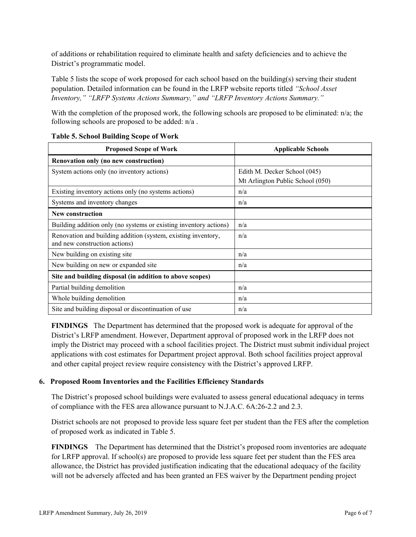of additions or rehabilitation required to eliminate health and safety deficiencies and to achieve the District's programmatic model.

Table 5 lists the scope of work proposed for each school based on the building(s) serving their student population. Detailed information can be found in the LRFP website reports titled *"School Asset Inventory," "LRFP Systems Actions Summary," and "LRFP Inventory Actions Summary."*

With the completion of the proposed work, the following schools are proposed to be eliminated:  $n/a$ ; the following schools are proposed to be added: n/a .

| <b>Proposed Scope of Work</b>                                                                  | <b>Applicable Schools</b>        |
|------------------------------------------------------------------------------------------------|----------------------------------|
| Renovation only (no new construction)                                                          |                                  |
| System actions only (no inventory actions)                                                     | Edith M. Decker School (045)     |
|                                                                                                | Mt Arlington Public School (050) |
| Existing inventory actions only (no systems actions)                                           | n/a                              |
| Systems and inventory changes                                                                  | n/a                              |
| <b>New construction</b>                                                                        |                                  |
| Building addition only (no systems or existing inventory actions)                              | n/a                              |
| Renovation and building addition (system, existing inventory,<br>and new construction actions) | n/a                              |
| New building on existing site.                                                                 | n/a                              |
| New building on new or expanded site                                                           | n/a                              |
| Site and building disposal (in addition to above scopes)                                       |                                  |
| Partial building demolition                                                                    | n/a                              |
| Whole building demolition                                                                      | n/a                              |
| Site and building disposal or discontinuation of use                                           | n/a                              |

### **Table 5. School Building Scope of Work**

**FINDINGS** The Department has determined that the proposed work is adequate for approval of the District's LRFP amendment. However, Department approval of proposed work in the LRFP does not imply the District may proceed with a school facilities project. The District must submit individual project applications with cost estimates for Department project approval. Both school facilities project approval and other capital project review require consistency with the District's approved LRFP.

# **6. Proposed Room Inventories and the Facilities Efficiency Standards**

The District's proposed school buildings were evaluated to assess general educational adequacy in terms of compliance with the FES area allowance pursuant to N.J.A.C. 6A:26-2.2 and 2.3.

District schools are not proposed to provide less square feet per student than the FES after the completion of proposed work as indicated in Table 5.

**FINDINGS** The Department has determined that the District's proposed room inventories are adequate for LRFP approval. If school(s) are proposed to provide less square feet per student than the FES area allowance, the District has provided justification indicating that the educational adequacy of the facility will not be adversely affected and has been granted an FES waiver by the Department pending project